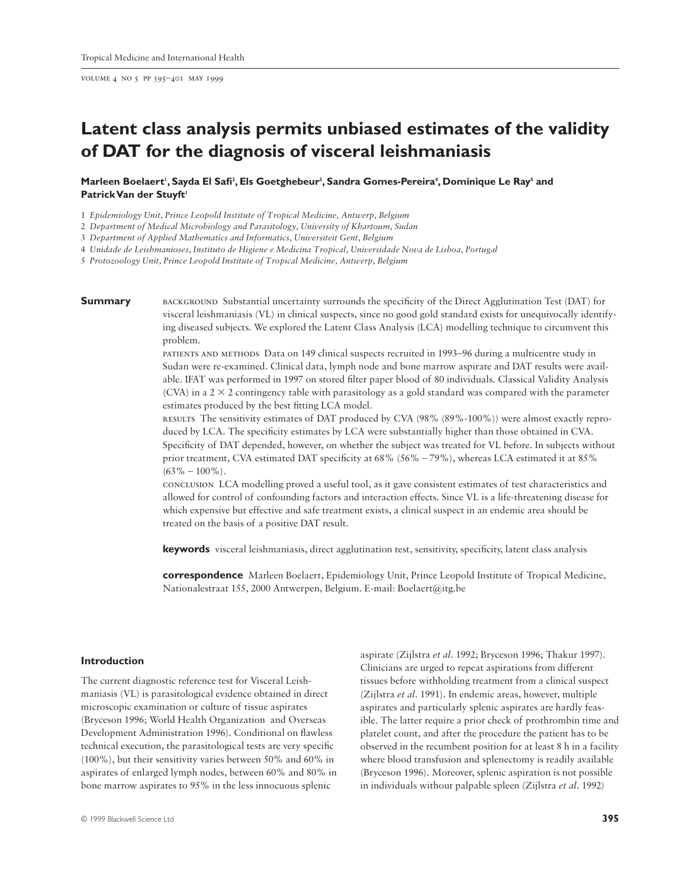volume 4 no 5 pp 395–401 may 1999

# **Latent class analysis permits unbiased estimates of the validity of DAT for the diagnosis of visceral leishmaniasis**

# **Marleen Boelaert', Sayda El Safi<sup>2</sup>, Els Goetghebeur<sup>3</sup>, Sandra Gomes-Pereira<del>'</del>, Dominique Le Ray<sup>s</sup> and Patrick Van der Stuyft**

1 *Epidemiology Unit, Prince Leopold Institute of Tropical Medicine, Antwerp, Belgium*

2 *Department of Medical Microbiology and Parasitology, University of Khartoum, Sudan*

3 *Department of Applied Mathematics and Informatics, Universiteit Gent, Belgium*

4 *Unidade de Leishmanioses, Instituto de Higiene e Medicina Tropical, Universidade Nova de Lisboa, Portugal*

5 *Protozoology Unit, Prince Leopold Institute of Tropical Medicine, Antwerp, Belgium*

# **Summary** background Substantial uncertainty surrounds the specificity of the Direct Agglutination Test (DAT) for visceral leishmaniasis (VL) in clinical suspects, since no good gold standard exists for unequivocally identifying diseased subjects. We explored the Latent Class Analysis (LCA) modelling technique to circumvent this problem.

patients and methods Data on 149 clinical suspects recruited in 1993–96 during a multicentre study in Sudan were re-examined. Clinical data, lymph node and bone marrow aspirate and DAT results were available. IFAT was performed in 1997 on stored filter paper blood of 80 individuals. Classical Validity Analysis (CVA) in a  $2 \times 2$  contingency table with parasitology as a gold standard was compared with the parameter estimates produced by the best fitting LCA model.

results The sensitivity estimates of DAT produced by CVA (98% (89%-100%)) were almost exactly reproduced by LCA. The specificity estimates by LCA were substantially higher than those obtained in CVA. Specificity of DAT depended, however, on whether the subject was treated for VL before. In subjects without prior treatment, CVA estimated DAT specificity at 68% (56% – 79%), whereas LCA estimated it at 85%  $(63\% - 100\%)$ .

conclusion LCA modelling proved a useful tool, as it gave consistent estimates of test characteristics and allowed for control of confounding factors and interaction effects. Since VL is a life-threatening disease for which expensive but effective and safe treatment exists, a clinical suspect in an endemic area should be treated on the basis of a positive DAT result.

**keywords** visceral leishmaniasis, direct agglutination test, sensitivity, specificity, latent class analysis

**correspondence** Marleen Boelaert, Epidemiology Unit, Prince Leopold Institute of Tropical Medicine, Nationalestraat 155, 2000 Antwerpen, Belgium. E-mail: Boelaert@itg.be

# **Introduction**

The current diagnostic reference test for Visceral Leishmaniasis (VL) is parasitological evidence obtained in direct microscopic examination or culture of tissue aspirates (Bryceson 1996; World Health Organization and Overseas Development Administration 1996). Conditional on flawless technical execution, the parasitological tests are very specific (100%), but their sensitivity varies between 50% and 60% in aspirates of enlarged lymph nodes, between 60% and 80% in bone marrow aspirates to 95% in the less innocuous splenic

aspirate (Zijlstra *et al*. 1992; Bryceson 1996; Thakur 1997). Clinicians are urged to repeat aspirations from different tissues before withholding treatment from a clinical suspect (Zijlstra *et al*. 1991). In endemic areas, however, multiple aspirates and particularly splenic aspirates are hardly feasible. The latter require a prior check of prothrombin time and platelet count, and after the procedure the patient has to be observed in the recumbent position for at least 8 h in a facility where blood transfusion and splenectomy is readily available (Bryceson 1996). Moreover, splenic aspiration is not possible in individuals without palpable spleen (Zijlstra *et al*. 1992)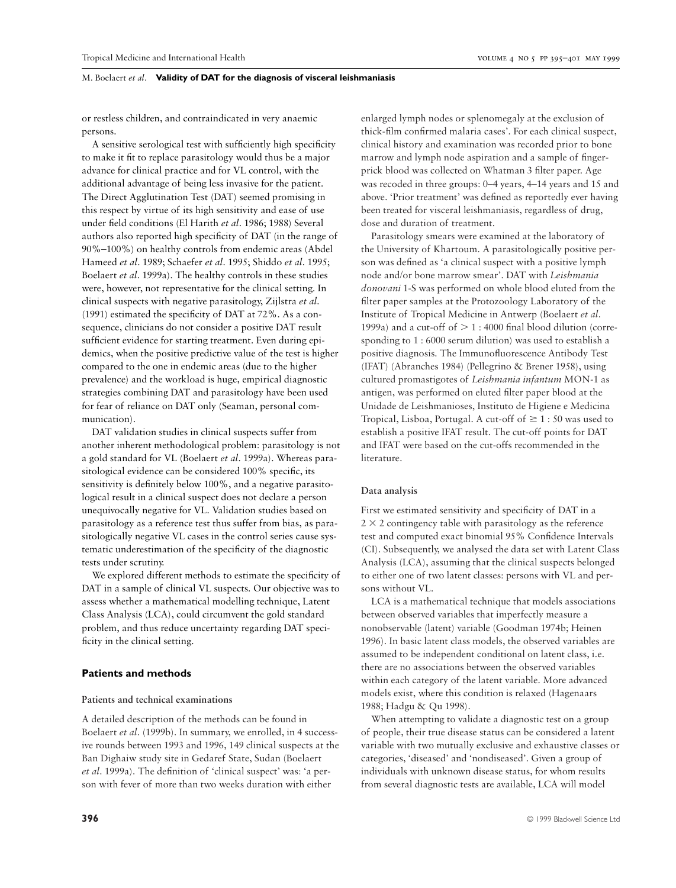or restless children, and contraindicated in very anaemic persons.

A sensitive serological test with sufficiently high specificity to make it fit to replace parasitology would thus be a major advance for clinical practice and for VL control, with the additional advantage of being less invasive for the patient. The Direct Agglutination Test (DAT) seemed promising in this respect by virtue of its high sensitivity and ease of use under field conditions (El Harith *et al*. 1986; 1988) Several authors also reported high specificity of DAT (in the range of 90%–100%) on healthy controls from endemic areas (Abdel Hameed *et al*. 1989; Schaefer *et al*. 1995; Shiddo *et al*. 1995; Boelaert *et al*. 1999a). The healthy controls in these studies were, however, not representative for the clinical setting. In clinical suspects with negative parasitology, Zijlstra *et al*. (1991) estimated the specificity of DAT at 72%. As a consequence, clinicians do not consider a positive DAT result sufficient evidence for starting treatment. Even during epidemics, when the positive predictive value of the test is higher compared to the one in endemic areas (due to the higher prevalence) and the workload is huge, empirical diagnostic strategies combining DAT and parasitology have been used for fear of reliance on DAT only (Seaman, personal communication).

DAT validation studies in clinical suspects suffer from another inherent methodological problem: parasitology is not a gold standard for VL (Boelaert *et al*. 1999a). Whereas parasitological evidence can be considered 100% specific, its sensitivity is definitely below 100%, and a negative parasitological result in a clinical suspect does not declare a person unequivocally negative for VL. Validation studies based on parasitology as a reference test thus suffer from bias, as parasitologically negative VL cases in the control series cause systematic underestimation of the specificity of the diagnostic tests under scrutiny.

We explored different methods to estimate the specificity of DAT in a sample of clinical VL suspects. Our objective was to assess whether a mathematical modelling technique, Latent Class Analysis (LCA), could circumvent the gold standard problem, and thus reduce uncertainty regarding DAT specificity in the clinical setting.

# **Patients and methods**

### **Patients and technical examinations**

A detailed description of the methods can be found in Boelaert *et al*. (1999b). In summary, we enrolled, in 4 successive rounds between 1993 and 1996, 149 clinical suspects at the Ban Dighaiw study site in Gedaref State, Sudan (Boelaert *et al*. 1999a). The definition of 'clinical suspect' was: 'a person with fever of more than two weeks duration with either

enlarged lymph nodes or splenomegaly at the exclusion of thick-film confirmed malaria cases'. For each clinical suspect, clinical history and examination was recorded prior to bone marrow and lymph node aspiration and a sample of fingerprick blood was collected on Whatman 3 filter paper. Age was recoded in three groups: 0–4 years, 4–14 years and 15 and above. 'Prior treatment' was defined as reportedly ever having been treated for visceral leishmaniasis, regardless of drug, dose and duration of treatment.

Parasitology smears were examined at the laboratory of the University of Khartoum. A parasitologically positive person was defined as 'a clinical suspect with a positive lymph node and/or bone marrow smear'. DAT with *Leishmania donovani* 1-S was performed on whole blood eluted from the filter paper samples at the Protozoology Laboratory of the Institute of Tropical Medicine in Antwerp (Boelaert *et al*. 1999a) and a cut-off of  $> 1$ : 4000 final blood dilution (corresponding to 1 : 6000 serum dilution) was used to establish a positive diagnosis. The Immunofluorescence Antibody Test (IFAT) (Abranches 1984) (Pellegrino & Brener 1958), using cultured promastigotes of *Leishmania infantum* MON-1 as antigen, was performed on eluted filter paper blood at the Unidade de Leishmanioses, Instituto de Higiene e Medicina Tropical, Lisboa, Portugal. A cut-off of  $\geq 1$ : 50 was used to establish a positive IFAT result. The cut-off points for DAT and IFAT were based on the cut-offs recommended in the literature.

#### **Data analysis**

First we estimated sensitivity and specificity of DAT in a  $2 \times 2$  contingency table with parasitology as the reference test and computed exact binomial 95% Confidence Intervals (CI). Subsequently, we analysed the data set with Latent Class Analysis (LCA), assuming that the clinical suspects belonged to either one of two latent classes: persons with VL and persons without VL.

LCA is a mathematical technique that models associations between observed variables that imperfectly measure a nonobservable (latent) variable (Goodman 1974b; Heinen 1996). In basic latent class models, the observed variables are assumed to be independent conditional on latent class, i.e. there are no associations between the observed variables within each category of the latent variable. More advanced models exist, where this condition is relaxed (Hagenaars 1988; Hadgu & Qu 1998).

When attempting to validate a diagnostic test on a group of people, their true disease status can be considered a latent variable with two mutually exclusive and exhaustive classes or categories, 'diseased' and 'nondiseased'. Given a group of individuals with unknown disease status, for whom results from several diagnostic tests are available, LCA will model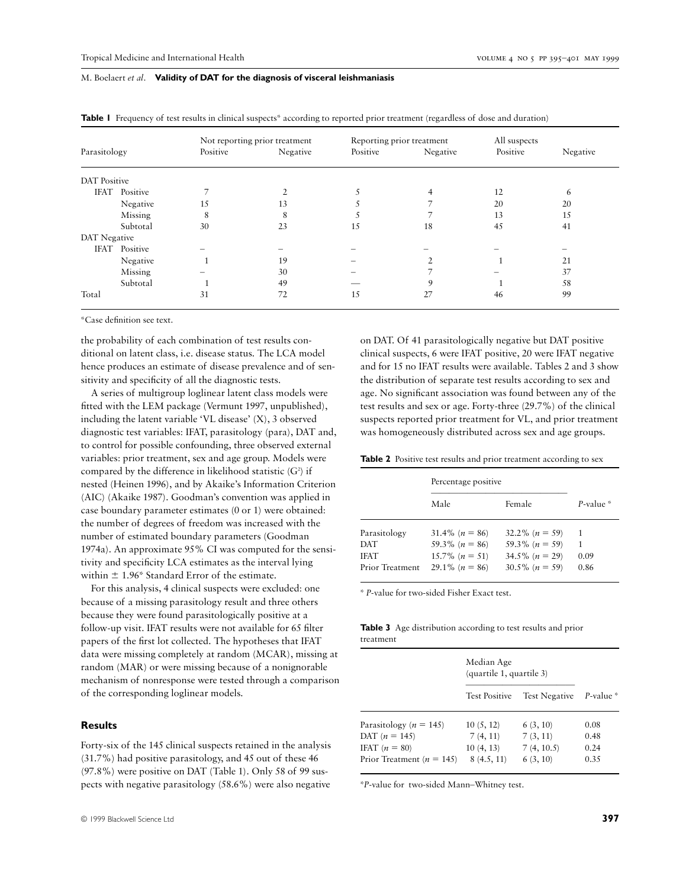|                     |               |          | Not reporting prior treatment | Reporting prior treatment |          | All suspects |          |
|---------------------|---------------|----------|-------------------------------|---------------------------|----------|--------------|----------|
| Parasitology        |               | Positive | Negative                      | Positive                  | Negative | Positive     | Negative |
| <b>DAT</b> Positive |               |          |                               |                           |          |              |          |
|                     | IFAT Positive |          |                               |                           | 4        | 12           | 6        |
|                     | Negative      | 15       | 13                            |                           |          | 20           | 20       |
|                     | Missing       | 8        | 8                             |                           |          | 13           | 15       |
|                     | Subtotal      | 30       | 23                            | 15                        | 18       | 45           | 41       |
| DAT Negative        |               |          |                               |                           |          |              |          |
| <b>IFAT</b>         | Positive      |          |                               |                           |          |              |          |
|                     | Negative      |          | 19                            |                           |          |              | 21       |
|                     | Missing       |          | 30                            |                           |          |              | 37       |
|                     | Subtotal      |          | 49                            |                           | Q        |              | 58       |
| Total               |               | 31       | 72                            | 15                        | 27       | 46           | 99       |

Table 1 Frequency of test results in clinical suspects\* according to reported prior treatment (regardless of dose and duration)

\*Case definition see text.

the probability of each combination of test results conditional on latent class, i.e. disease status. The LCA model hence produces an estimate of disease prevalence and of sensitivity and specificity of all the diagnostic tests.

A series of multigroup loglinear latent class models were fitted with the LEM package (Vermunt 1997, unpublished), including the latent variable 'VL disease' (X), 3 observed diagnostic test variables: IFAT, parasitology (para), DAT and, to control for possible confounding, three observed external variables: prior treatment, sex and age group. Models were compared by the difference in likelihood statistic (G<sup>2</sup>) if nested (Heinen 1996), and by Akaike's Information Criterion (AIC) (Akaike 1987). Goodman's convention was applied in case boundary parameter estimates (0 or 1) were obtained: the number of degrees of freedom was increased with the number of estimated boundary parameters (Goodman 1974a). An approximate 95% CI was computed for the sensitivity and specificity LCA estimates as the interval lying within  $\pm$  1.96\* Standard Error of the estimate.

For this analysis, 4 clinical suspects were excluded: one because of a missing parasitology result and three others because they were found parasitologically positive at a follow-up visit. IFAT results were not available for 65 filter papers of the first lot collected. The hypotheses that IFAT data were missing completely at random (MCAR), missing at random (MAR) or were missing because of a nonignorable mechanism of nonresponse were tested through a comparison of the corresponding loglinear models.

## **Results**

Forty-six of the 145 clinical suspects retained in the analysis (31.7%) had positive parasitology, and 45 out of these 46 (97.8%) were positive on DAT (Table 1). Only 58 of 99 suspects with negative parasitology (58.6%) were also negative on DAT. Of 41 parasitologically negative but DAT positive clinical suspects, 6 were IFAT positive, 20 were IFAT negative and for 15 no IFAT results were available. Tables 2 and 3 show the distribution of separate test results according to sex and age. No significant association was found between any of the test results and sex or age. Forty-three (29.7%) of the clinical suspects reported prior treatment for VL, and prior treatment was homogeneously distributed across sex and age groups.

Table 2 Positive test results and prior treatment according to sex

|                                                       | Percentage positive                                                             |                                                                                 |                        |
|-------------------------------------------------------|---------------------------------------------------------------------------------|---------------------------------------------------------------------------------|------------------------|
|                                                       | Male                                                                            | Female                                                                          | P-value *              |
| Parasitology<br>DAT<br><b>IFAT</b><br>Prior Treatment | $31.4\%$ (n = 86)<br>59.3% $(n = 86)$<br>$15.7\%$ (n = 51)<br>$29.1\%$ (n = 86) | $32.2\%$ (n = 59)<br>59.3% $(n = 59)$<br>$34.5\%$ (n = 29)<br>$30.5\%$ (n = 59) | 1<br>1<br>0.09<br>0.86 |

\* *P*-value for two-sided Fisher Exact test.

|           | <b>Table 3</b> Age distribution according to test results and prior |  |  |
|-----------|---------------------------------------------------------------------|--|--|
| treatment |                                                                     |  |  |

|                               | Median Age<br>(quartile 1, quartile 3) |                      |                |
|-------------------------------|----------------------------------------|----------------------|----------------|
|                               | <b>Test Positive</b>                   | <b>Test Negative</b> | $P$ -value $*$ |
| Parasitology ( $n = 145$ )    | 10(5, 12)                              | 6(3, 10)             | 0.08           |
| DAT $(n = 145)$               | 7(4, 11)                               | 7(3, 11)             | 0.48           |
| IFAT $(n = 80)$               | 10(4, 13)                              | 7(4, 10.5)           | 0.24           |
| Prior Treatment ( $n = 145$ ) | 8(4.5, 11)                             | 6(3, 10)             | 0.35           |

\**P*-value for two-sided Mann–Whitney test.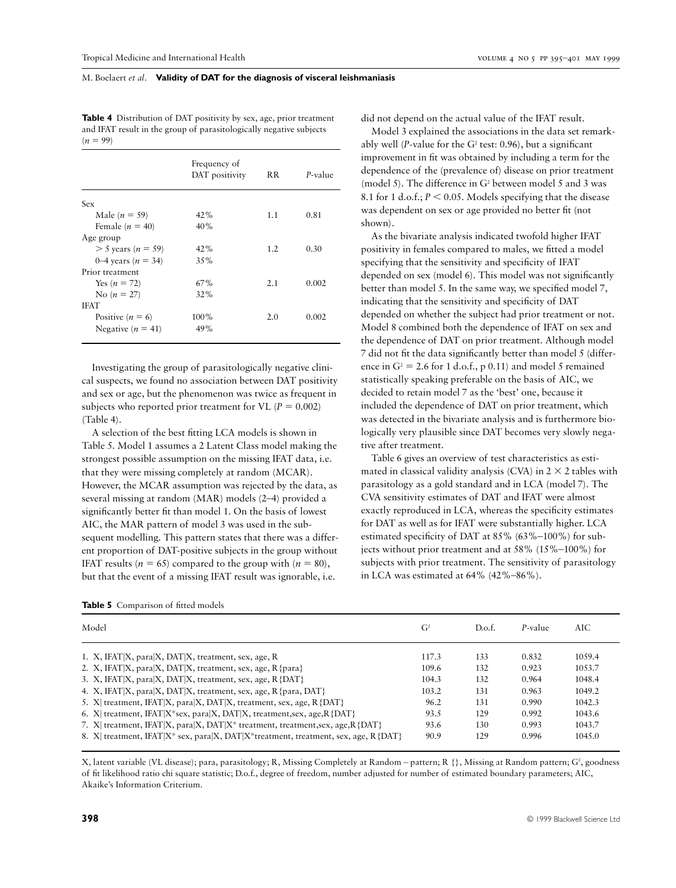**Table 4** Distribution of DAT positivity by sex, age, prior treatment and IFAT result in the group of parasitologically negative subjects  $(n = 99)$ 

|                        | Frequency of<br>DAT positivity | R R | P-value |
|------------------------|--------------------------------|-----|---------|
| Sex                    |                                |     |         |
| Male $(n = 59)$        | 42%                            | 1.1 | 0.81    |
| Female $(n = 40)$      | 40%                            |     |         |
| Age group              |                                |     |         |
| $>$ 5 years (n = 59)   | $42\%$                         | 1.2 | 0.30    |
| 0–4 years ( $n = 34$ ) | $35\%$                         |     |         |
| Prior treatment        |                                |     |         |
| Yes $(n = 72)$         | $67\%$                         | 2.1 | 0.002   |
| No $(n = 27)$          | $32\%$                         |     |         |
| <b>IFAT</b>            |                                |     |         |
| Positive $(n = 6)$     | $100\%$                        | 2.0 | 0.002   |
| Negative $(n = 41)$    | 49%                            |     |         |

Investigating the group of parasitologically negative clinical suspects, we found no association between DAT positivity and sex or age, but the phenomenon was twice as frequent in subjects who reported prior treatment for VL  $(P = 0.002)$ (Table 4).

A selection of the best fitting LCA models is shown in Table 5. Model 1 assumes a 2 Latent Class model making the strongest possible assumption on the missing IFAT data, i.e. that they were missing completely at random (MCAR). However, the MCAR assumption was rejected by the data, as several missing at random (MAR) models (2–4) provided a significantly better fit than model 1. On the basis of lowest AIC, the MAR pattern of model 3 was used in the subsequent modelling. This pattern states that there was a different proportion of DAT-positive subjects in the group without IFAT results ( $n = 65$ ) compared to the group with ( $n = 80$ ), but that the event of a missing IFAT result was ignorable, i.e.

|  |  | Table 5 Comparison of fitted models |  |  |  |
|--|--|-------------------------------------|--|--|--|
|--|--|-------------------------------------|--|--|--|

did not depend on the actual value of the IFAT result.

Model 3 explained the associations in the data set remarkably well (*P*-value for the  $G^2$  test: 0.96), but a significant improvement in fit was obtained by including a term for the dependence of the (prevalence of) disease on prior treatment (model 5). The difference in  $G<sup>2</sup>$  between model 5 and 3 was 8.1 for 1 d.o.f.;  $P \le 0.05$ . Models specifying that the disease was dependent on sex or age provided no better fit (not shown).

As the bivariate analysis indicated twofold higher IFAT positivity in females compared to males, we fitted a model specifying that the sensitivity and specificity of IFAT depended on sex (model 6). This model was not significantly better than model 5. In the same way, we specified model 7, indicating that the sensitivity and specificity of DAT depended on whether the subject had prior treatment or not. Model 8 combined both the dependence of IFAT on sex and the dependence of DAT on prior treatment. Although model 7 did not fit the data significantly better than model 5 (difference in  $G^2 = 2.6$  for 1 d.o.f., p 0.11) and model 5 remained statistically speaking preferable on the basis of AIC, we decided to retain model 7 as the 'best' one, because it included the dependence of DAT on prior treatment, which was detected in the bivariate analysis and is furthermore biologically very plausible since DAT becomes very slowly negative after treatment.

Table 6 gives an overview of test characteristics as estimated in classical validity analysis (CVA) in  $2 \times 2$  tables with parasitology as a gold standard and in LCA (model 7). The CVA sensitivity estimates of DAT and IFAT were almost exactly reproduced in LCA, whereas the specificity estimates for DAT as well as for IFAT were substantially higher. LCA estimated specificity of DAT at 85% (63%–100%) for subjects without prior treatment and at 58% (15%–100%) for subjects with prior treatment. The sensitivity of parasitology in LCA was estimated at 64% (42%–86%).

| Model                                                                                                             |       | D.o.f. | P-value | AIC     |
|-------------------------------------------------------------------------------------------------------------------|-------|--------|---------|---------|
| 1. X, IFAT X, para X, DAT X, treatment, sex, age, R                                                               | 117.3 | 133    | 0.832   | 1059.4  |
| 2. X, IFAT X, para X, DAT X, treatment, sex, age, R {para}                                                        | 109.6 | 132    | 0.923   | 10.53.7 |
| 3. X, IFAT X, para X, DAT X, treatment, sex, age, R {DAT}                                                         | 104.3 | 132    | 0.964   | 1048.4  |
| 4. X, IFAT X, para X, DAT X, treatment, sex, age, R {para, DAT}                                                   | 103.2 | 131    | 0.963   | 1049.2  |
| 5. X treatment, IFAT X, para X, DAT X, treatment, sex, age, R {DAT}                                               | 96.2  | 131    | 0.990   | 1042.3  |
| 6. X treatment, IFAT X*sex, para X, DAT X, treatment, sex, age, R {DAT}                                           | 93.5  | 129    | 0.992   | 1043.6  |
| 7. X treatment, IFAT X, para X, DAT X* treatment, treatment, sex, age, R {DAT}                                    | 93.6  | 130    | 0.993   | 1043.7  |
| 8. X treatment, IFAT   X <sup>*</sup> sex, para   X, DAT   X <sup>*</sup> treatment, treatment, sex, age, R {DAT} | 90.9  | 129    | 0.996   | 1045.0  |

X, latent variable (VL disease); para, parasitology; R, Missing Completely at Random – pattern; R {}, Missing at Random pattern; G<sup>2</sup>, goodness of fit likelihood ratio chi square statistic; D.o.f., degree of freedom, number adjusted for number of estimated boundary parameters; AIC, Akaike's Information Criterium.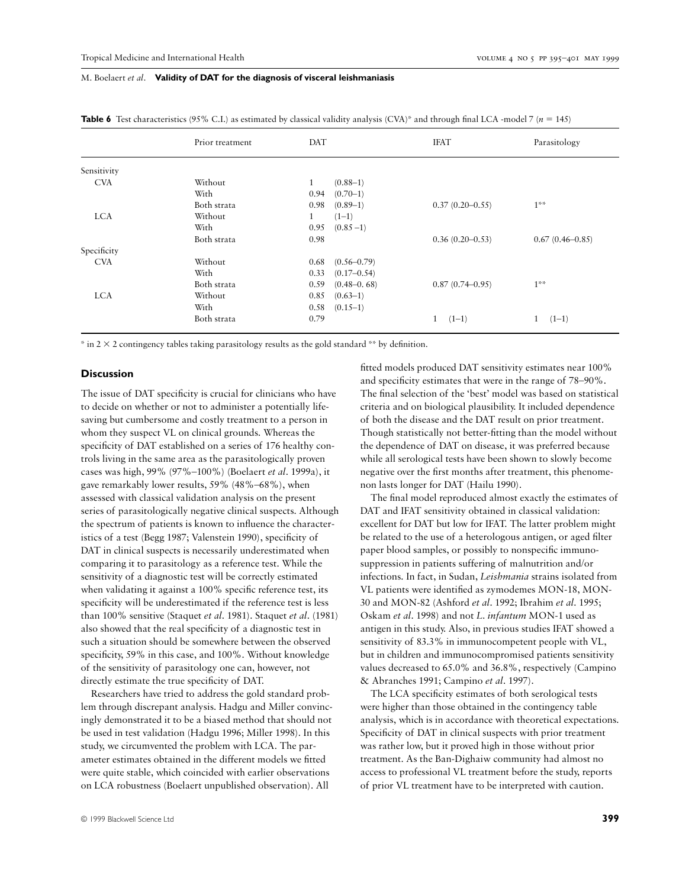| <b>IFAT</b><br>Parasitology<br>DAT<br>Prior treatment<br>Sensitivity<br><b>CVA</b><br>Without<br>$\mathbf{1}$<br>$(0.88-1)$<br>With<br>0.94<br>$(0.70-1)$<br>$1***$<br>$0.37(0.20 - 0.55)$<br>Both strata<br>0.98<br>$(0.89-1)$<br><b>LCA</b><br>Without<br>$\mathbf{1}$<br>$(1-1)$<br>With<br>$(0.85 - 1)$<br>0.95<br>Both strata<br>0.98<br>$0.36(0.20-0.53)$<br>$0.67(0.46 - 0.85)$<br>Specificity<br><b>CVA</b><br>Without<br>$(0.56 - 0.79)$<br>0.68<br>With<br>0.33<br>$(0.17 - 0.54)$<br>$1***$<br>Both strata<br>$0.87(0.74 - 0.95)$<br>0.59<br>$(0.48 - 0.68)$<br><b>LCA</b><br>Without<br>$(0.63-1)$<br>0.85<br>With<br>$(0.15-1)$<br>0.58<br>Both strata<br>0.79<br>$\mathbf{1}$<br>$(1-1)$<br>1<br>$(1-1)$ |  |  |  |
|------------------------------------------------------------------------------------------------------------------------------------------------------------------------------------------------------------------------------------------------------------------------------------------------------------------------------------------------------------------------------------------------------------------------------------------------------------------------------------------------------------------------------------------------------------------------------------------------------------------------------------------------------------------------------------------------------------------------|--|--|--|
|                                                                                                                                                                                                                                                                                                                                                                                                                                                                                                                                                                                                                                                                                                                        |  |  |  |
|                                                                                                                                                                                                                                                                                                                                                                                                                                                                                                                                                                                                                                                                                                                        |  |  |  |
|                                                                                                                                                                                                                                                                                                                                                                                                                                                                                                                                                                                                                                                                                                                        |  |  |  |
|                                                                                                                                                                                                                                                                                                                                                                                                                                                                                                                                                                                                                                                                                                                        |  |  |  |
|                                                                                                                                                                                                                                                                                                                                                                                                                                                                                                                                                                                                                                                                                                                        |  |  |  |
|                                                                                                                                                                                                                                                                                                                                                                                                                                                                                                                                                                                                                                                                                                                        |  |  |  |
|                                                                                                                                                                                                                                                                                                                                                                                                                                                                                                                                                                                                                                                                                                                        |  |  |  |
|                                                                                                                                                                                                                                                                                                                                                                                                                                                                                                                                                                                                                                                                                                                        |  |  |  |
|                                                                                                                                                                                                                                                                                                                                                                                                                                                                                                                                                                                                                                                                                                                        |  |  |  |
|                                                                                                                                                                                                                                                                                                                                                                                                                                                                                                                                                                                                                                                                                                                        |  |  |  |
|                                                                                                                                                                                                                                                                                                                                                                                                                                                                                                                                                                                                                                                                                                                        |  |  |  |
|                                                                                                                                                                                                                                                                                                                                                                                                                                                                                                                                                                                                                                                                                                                        |  |  |  |
|                                                                                                                                                                                                                                                                                                                                                                                                                                                                                                                                                                                                                                                                                                                        |  |  |  |
|                                                                                                                                                                                                                                                                                                                                                                                                                                                                                                                                                                                                                                                                                                                        |  |  |  |
|                                                                                                                                                                                                                                                                                                                                                                                                                                                                                                                                                                                                                                                                                                                        |  |  |  |

**Table 6** Test characteristics (95% C.I.) as estimated by classical validity analysis (CVA)\* and through final LCA -model 7 ( $n = 145$ )

\* in  $2 \times 2$  contingency tables taking parasitology results as the gold standard \*\* by definition.

#### **Discussion**

The issue of DAT specificity is crucial for clinicians who have to decide on whether or not to administer a potentially lifesaving but cumbersome and costly treatment to a person in whom they suspect VL on clinical grounds. Whereas the specificity of DAT established on a series of 176 healthy controls living in the same area as the parasitologically proven cases was high, 99% (97%–100%) (Boelaert *et al*. 1999a), it gave remarkably lower results, 59% (48%–68%), when assessed with classical validation analysis on the present series of parasitologically negative clinical suspects. Although the spectrum of patients is known to influence the characteristics of a test (Begg 1987; Valenstein 1990), specificity of DAT in clinical suspects is necessarily underestimated when comparing it to parasitology as a reference test. While the sensitivity of a diagnostic test will be correctly estimated when validating it against a 100% specific reference test, its specificity will be underestimated if the reference test is less than 100% sensitive (Staquet *et al*. 1981). Staquet *et al*. (1981) also showed that the real specificity of a diagnostic test in such a situation should be somewhere between the observed specificity, 59% in this case, and 100%. Without knowledge of the sensitivity of parasitology one can, however, not directly estimate the true specificity of DAT.

Researchers have tried to address the gold standard problem through discrepant analysis. Hadgu and Miller convincingly demonstrated it to be a biased method that should not be used in test validation (Hadgu 1996; Miller 1998). In this study, we circumvented the problem with LCA. The parameter estimates obtained in the different models we fitted were quite stable, which coincided with earlier observations on LCA robustness (Boelaert unpublished observation). All

fitted models produced DAT sensitivity estimates near 100% and specificity estimates that were in the range of 78–90%. The final selection of the 'best' model was based on statistical criteria and on biological plausibility. It included dependence of both the disease and the DAT result on prior treatment. Though statistically not better-fitting than the model without the dependence of DAT on disease, it was preferred because while all serological tests have been shown to slowly become negative over the first months after treatment, this phenomenon lasts longer for DAT (Hailu 1990).

The final model reproduced almost exactly the estimates of DAT and IFAT sensitivity obtained in classical validation: excellent for DAT but low for IFAT. The latter problem might be related to the use of a heterologous antigen, or aged filter paper blood samples, or possibly to nonspecific immunosuppression in patients suffering of malnutrition and/or infections. In fact, in Sudan, *Leishmania* strains isolated from VL patients were identified as zymodemes MON-18, MON-30 and MON-82 (Ashford *et al*. 1992; Ibrahim *et al*. 1995; Oskam *et al*. 1998) and not *L. infantum* MON-1 used as antigen in this study. Also, in previous studies IFAT showed a sensitivity of 83.3% in immunocompetent people with VL, but in children and immunocompromised patients sensitivity values decreased to 65.0% and 36.8%, respectively (Campino & Abranches 1991; Campino *et al*. 1997).

The LCA specificity estimates of both serological tests were higher than those obtained in the contingency table analysis, which is in accordance with theoretical expectations. Specificity of DAT in clinical suspects with prior treatment was rather low, but it proved high in those without prior treatment. As the Ban-Dighaiw community had almost no access to professional VL treatment before the study, reports of prior VL treatment have to be interpreted with caution.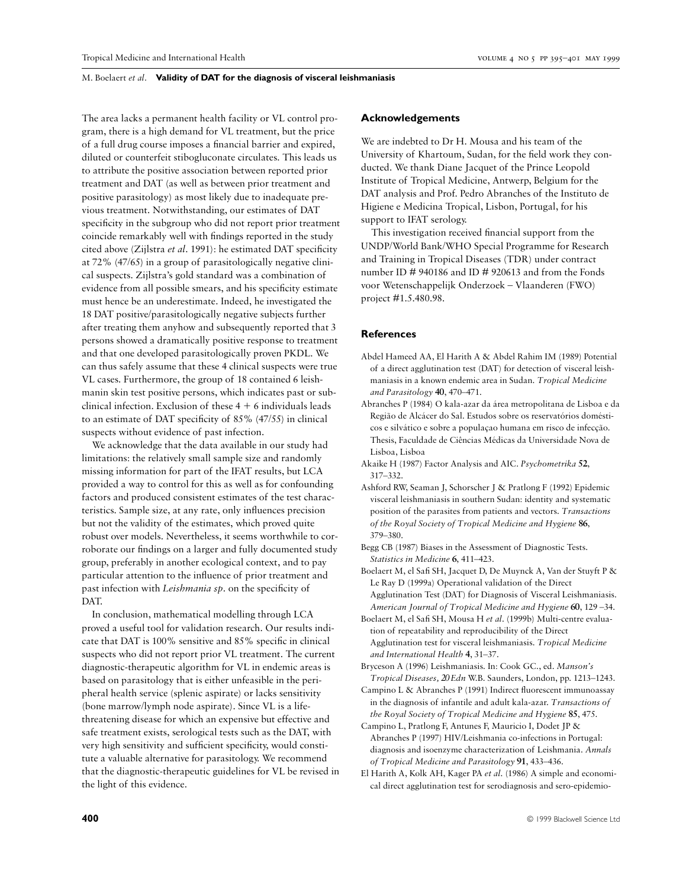The area lacks a permanent health facility or VL control program, there is a high demand for VL treatment, but the price of a full drug course imposes a financial barrier and expired, diluted or counterfeit stibogluconate circulates. This leads us to attribute the positive association between reported prior treatment and DAT (as well as between prior treatment and positive parasitology) as most likely due to inadequate previous treatment. Notwithstanding, our estimates of DAT specificity in the subgroup who did not report prior treatment coincide remarkably well with findings reported in the study cited above (Zijlstra *et al*. 1991): he estimated DAT specificity at 72% (47/65) in a group of parasitologically negative clinical suspects. Zijlstra's gold standard was a combination of evidence from all possible smears, and his specificity estimate must hence be an underestimate. Indeed, he investigated the 18 DAT positive/parasitologically negative subjects further after treating them anyhow and subsequently reported that 3 persons showed a dramatically positive response to treatment and that one developed parasitologically proven PKDL. We can thus safely assume that these 4 clinical suspects were true VL cases. Furthermore, the group of 18 contained 6 leishmanin skin test positive persons, which indicates past or subclinical infection. Exclusion of these  $4 + 6$  individuals leads to an estimate of DAT specificity of 85% (47/55) in clinical suspects without evidence of past infection.

We acknowledge that the data available in our study had limitations: the relatively small sample size and randomly missing information for part of the IFAT results, but LCA provided a way to control for this as well as for confounding factors and produced consistent estimates of the test characteristics. Sample size, at any rate, only influences precision but not the validity of the estimates, which proved quite robust over models. Nevertheless, it seems worthwhile to corroborate our findings on a larger and fully documented study group, preferably in another ecological context, and to pay particular attention to the influence of prior treatment and past infection with *Leishmania sp*. on the specificity of DAT.

In conclusion, mathematical modelling through LCA proved a useful tool for validation research. Our results indicate that DAT is 100% sensitive and 85% specific in clinical suspects who did not report prior VL treatment. The current diagnostic-therapeutic algorithm for VL in endemic areas is based on parasitology that is either unfeasible in the peripheral health service (splenic aspirate) or lacks sensitivity (bone marrow/lymph node aspirate). Since VL is a lifethreatening disease for which an expensive but effective and safe treatment exists, serological tests such as the DAT, with very high sensitivity and sufficient specificity, would constitute a valuable alternative for parasitology. We recommend that the diagnostic-therapeutic guidelines for VL be revised in the light of this evidence.

#### **Acknowledgements**

We are indebted to Dr H. Mousa and his team of the University of Khartoum, Sudan, for the field work they conducted. We thank Diane Jacquet of the Prince Leopold Institute of Tropical Medicine, Antwerp, Belgium for the DAT analysis and Prof. Pedro Abranches of the Instituto de Higiene e Medicina Tropical, Lisbon, Portugal, for his support to IFAT serology.

This investigation received financial support from the UNDP/World Bank/WHO Special Programme for Research and Training in Tropical Diseases (TDR) under contract number ID # 940186 and ID # 920613 and from the Fonds voor Wetenschappelijk Onderzoek – Vlaanderen (FWO) project #1.5.480.98.

#### **References**

- Abdel Hameed AA, El Harith A & Abdel Rahim IM (1989) Potential of a direct agglutination test (DAT) for detection of visceral leishmaniasis in a known endemic area in Sudan. *Tropical Medicine and Parasitology* **40**, 470–471.
- Abranches P (1984) O kala-azar da área metropolitana de Lisboa e da Região de Alcácer do Sal. Estudos sobre os reservatórios domésticos e silvático e sobre a populaçao humana em risco de infecção. Thesis, Faculdade de Ciências Médicas da Universidade Nova de Lisboa, Lisboa
- Akaike H (1987) Factor Analysis and AIC. *Psychometrika* **52**, 317–332.
- Ashford RW, Seaman J, Schorscher J & Pratlong F (1992) Epidemic visceral leishmaniasis in southern Sudan: identity and systematic position of the parasites from patients and vectors. *Transactions of the Royal Society of Tropical Medicine and Hygiene* **86**, 379–380.
- Begg CB (1987) Biases in the Assessment of Diagnostic Tests. *Statistics in Medicine* **6**, 411–423.

Boelaert M, el Safi SH, Jacquet D, De Muynck A, Van der Stuyft P & Le Ray D (1999a) Operational validation of the Direct Agglutination Test (DAT) for Diagnosis of Visceral Leishmaniasis. *American Journal of Tropical Medicine and Hygiene* **60**, 129 –34.

Boelaert M, el Safi SH, Mousa H *et al*. (1999b) Multi-centre evaluation of repeatability and reproducibility of the Direct Agglutination test for visceral leishmaniasis. *Tropical Medicine and International Health* **4**, 31–37.

Bryceson A (1996) Leishmaniasis. In: Cook GC., ed. *Manson's Tropical Diseases, 20 Edn* W.B. Saunders, London, pp. 1213–1243.

- Campino L & Abranches P (1991) Indirect fluorescent immunoassay in the diagnosis of infantile and adult kala-azar. *Transactions of the Royal Society of Tropical Medicine and Hygiene* **85**, 475.
- Campino L, Pratlong F, Antunes F, Mauricio I, Dodet JP & Abranches P (1997) HIV/Leishmania co-infections in Portugal: diagnosis and isoenzyme characterization of Leishmania. *Annals of Tropical Medicine and Parasitology* **91**, 433–436.
- El Harith A, Kolk AH, Kager PA *et al*. (1986) A simple and economical direct agglutination test for serodiagnosis and sero-epidemio-